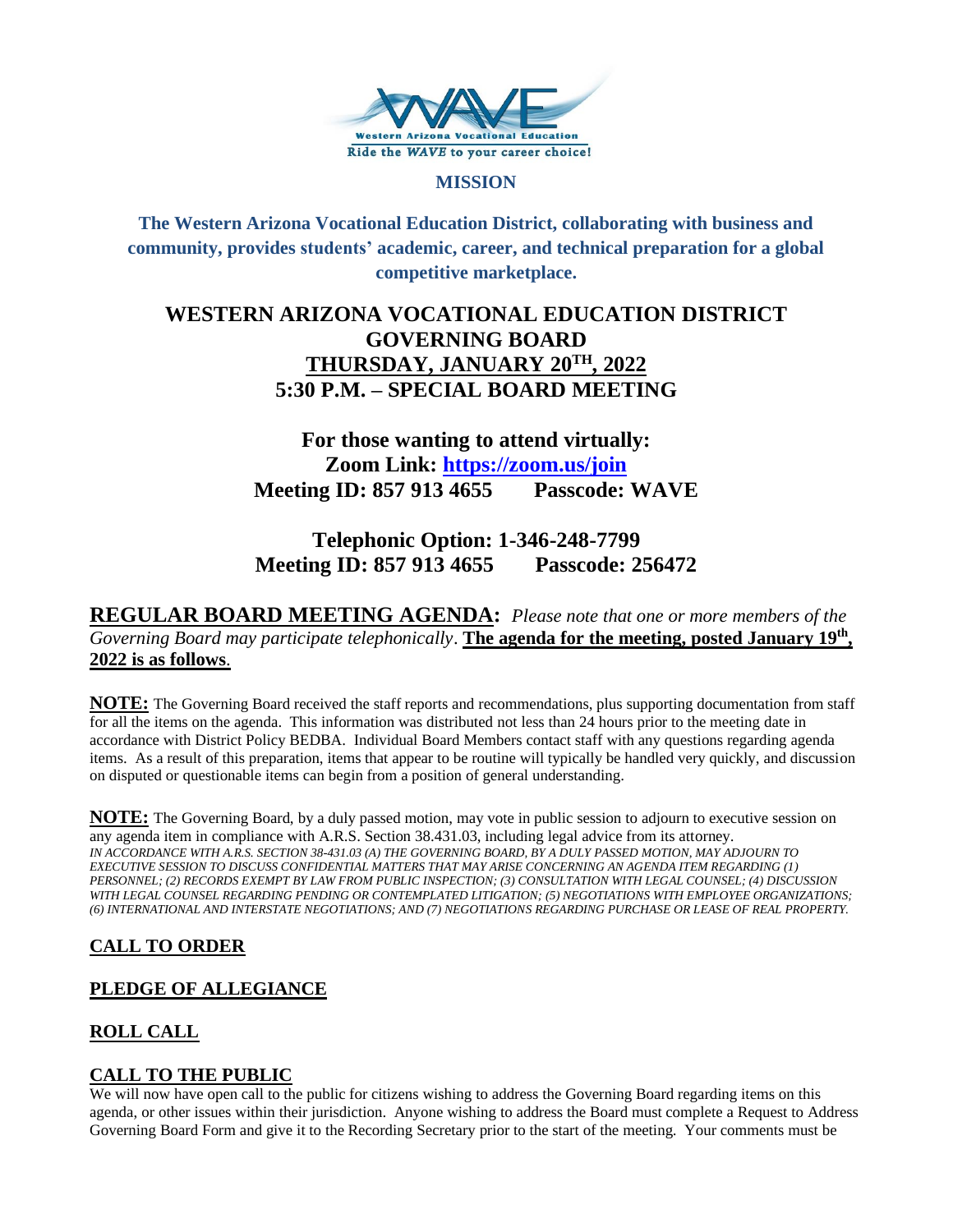

### **MISSION**

**The Western Arizona Vocational Education District, collaborating with business and community, provides students' academic, career, and technical preparation for a global competitive marketplace.**

## **WESTERN ARIZONA VOCATIONAL EDUCATION DISTRICT GOVERNING BOARD THURSDAY, JANUARY 20TH , 2022 5:30 P.M. – SPECIAL BOARD MEETING**

# **For those wanting to attend virtually: Zoom Link:<https://zoom.us/join> Meeting ID: 857 913 4655 Passcode: WAVE**

# **Telephonic Option: 1-346-248-7799 Meeting ID: 857 913 4655 Passcode: 256472**

**REGULAR BOARD MEETING AGENDA:** *Please note that one or more members of the Governing Board may participate telephonically*. **The agenda for the meeting, posted January 19th , 2022 is as follows**.

**NOTE:** The Governing Board received the staff reports and recommendations, plus supporting documentation from staff for all the items on the agenda. This information was distributed not less than 24 hours prior to the meeting date in accordance with District Policy BEDBA. Individual Board Members contact staff with any questions regarding agenda items. As a result of this preparation, items that appear to be routine will typically be handled very quickly, and discussion on disputed or questionable items can begin from a position of general understanding.

**NOTE:** The Governing Board, by a duly passed motion, may vote in public session to adjourn to executive session on any agenda item in compliance with A.R.S. Section 38.431.03, including legal advice from its attorney. *IN ACCORDANCE WITH A.R.S. SECTION 38-431.03 (A) THE GOVERNING BOARD, BY A DULY PASSED MOTION, MAY ADJOURN TO EXECUTIVE SESSION TO DISCUSS CONFIDENTIAL MATTERS THAT MAY ARISE CONCERNING AN AGENDA ITEM REGARDING (1) PERSONNEL; (2) RECORDS EXEMPT BY LAW FROM PUBLIC INSPECTION; (3) CONSULTATION WITH LEGAL COUNSEL; (4) DISCUSSION WITH LEGAL COUNSEL REGARDING PENDING OR CONTEMPLATED LITIGATION; (5) NEGOTIATIONS WITH EMPLOYEE ORGANIZATIONS; (6) INTERNATIONAL AND INTERSTATE NEGOTIATIONS; AND (7) NEGOTIATIONS REGARDING PURCHASE OR LEASE OF REAL PROPERTY.*

## **CALL TO ORDER**

## **PLEDGE OF ALLEGIANCE**

## **ROLL CALL**

## **CALL TO THE PUBLIC**

We will now have open call to the public for citizens wishing to address the Governing Board regarding items on this agenda, or other issues within their jurisdiction. Anyone wishing to address the Board must complete a Request to Address Governing Board Form and give it to the Recording Secretary prior to the start of the meeting. Your comments must be